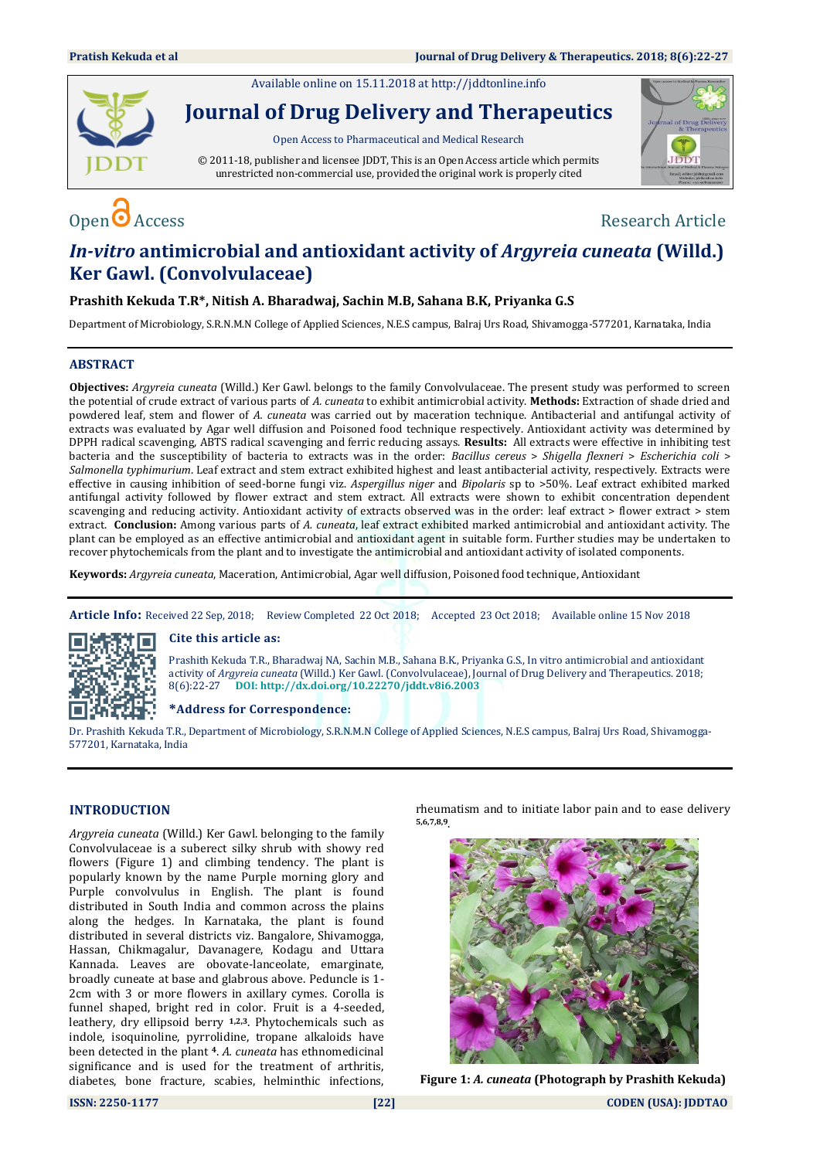Available online on 15.11.2018 a[t http://jddtonline.info](http://jddtonline.info/)



**Journal of Drug Delivery and Therapeutics**

Open Access to Pharmaceutical and Medical Research

© 2011-18, publisher and licensee JDDT, This is an Open Access article which permits unrestricted non-commercial use, provided the original work is properly cited



# $\overline{O}$  Access Research Article

## *In-vitro* **antimicrobial and antioxidant activity of** *Argyreia cuneata* **(Willd.) Ker Gawl. (Convolvulaceae)**

### **Prashith Kekuda T.R\*, Nitish A. Bharadwaj, Sachin M.B, Sahana B.K, Priyanka G.S**

Department of Microbiology, S.R.N.M.N College of Applied Sciences, N.E.S campus, Balraj Urs Road, Shivamogga-577201, Karnataka, India

### **ABSTRACT**

**Objectives:** *Argyreia cuneata* (Willd.) Ker Gawl. belongs to the family Convolvulaceae. The present study was performed to screen the potential of crude extract of various parts of *A. cuneata* to exhibit antimicrobial activity. **Methods:** Extraction of shade dried and powdered leaf, stem and flower of *A. cuneata* was carried out by maceration technique. Antibacterial and antifungal activity of extracts was evaluated by Agar well diffusion and Poisoned food technique respectively. Antioxidant activity was determined by DPPH radical scavenging, ABTS radical scavenging and ferric reducing assays. **Results:** All extracts were effective in inhibiting test bacteria and the susceptibility of bacteria to extracts was in the order: *Bacillus cereus* > *Shigella flexneri* > *Escherichia coli* > *Salmonella typhimurium*. Leaf extract and stem extract exhibited highest and least antibacterial activity, respectively. Extracts were effective in causing inhibition of seed-borne fungi viz. *Aspergillus niger* and *Bipolaris* sp to >50%. Leaf extract exhibited marked antifungal activity followed by flower extract and stem extract. All extracts were shown to exhibit concentration dependent scavenging and reducing activity. Antioxidant activity of extracts observed was in the order: leaf extract > flower extract > stem extract. **Conclusion:** Among various parts of *A. cuneata*, leaf extract exhibited marked antimicrobial and antioxidant activity. The plant can be employed as an effective antimicrobial and antioxidant agent in suitable form. Further studies may be undertaken to recover phytochemicals from the plant and to investigate the antimicrobial and antioxidant activity of isolated components.

**Keywords:** *Argyreia cuneata*, Maceration, Antimicrobial, Agar well diffusion, Poisoned food technique, Antioxidant

**Article Info:** Received 22 Sep, 2018; Review Completed 22 Oct 2018; Accepted 23 Oct 2018; Available online 15 Nov 2018



#### **Cite this article as:**

Prashith Kekuda T.R., Bharadwaj NA, Sachin M.B., Sahana B.K., Priyanka G.S., In vitro antimicrobial and antioxidant activity of *Argyreia cuneata* (Willd.) Ker Gawl. (Convolvulaceae), Journal of Drug Delivery and Therapeutics. 2018; 8(6):22-27 **DOI: <http://dx.doi.org/10.22270/jddt.v8i6.2003>**

#### **\*Address for Correspondence:**

Dr. Prashith Kekuda T.R., Department of Microbiology, S.R.N.M.N College of Applied Sciences, N.E.S campus, Balraj Urs Road, Shivamogga-577201, Karnataka, India

#### **INTRODUCTION**

*Argyreia cuneata* (Willd.) Ker Gawl. belonging to the family Convolvulaceae is a suberect silky shrub with showy red flowers (Figure 1) and climbing tendency. The plant is popularly known by the name Purple morning glory and Purple convolvulus in English. The plant is found distributed in South India and common across the plains along the hedges. In Karnataka, the plant is found distributed in several districts viz. Bangalore, Shivamogga, Hassan, Chikmagalur, Davanagere, Kodagu and Uttara Kannada. Leaves are obovate-lanceolate, emarginate, broadly cuneate at base and glabrous above. Peduncle is 1- 2cm with 3 or more flowers in axillary cymes. Corolla is funnel shaped, bright red in color. Fruit is a 4-seeded, leathery, dry ellipsoid berry **1,2,3**. Phytochemicals such as indole, isoquinoline, pyrrolidine, tropane alkaloids have been detected in the plant **4**. *A. cuneata* has ethnomedicinal significance and is used for the treatment of arthritis, diabetes, bone fracture, scabies, helminthic infections,

rheumatism and to initiate labor pain and to ease delivery **5,6,7,8,9**.



**Figure 1:** *A. cuneata* **(Photograph by Prashith Kekuda)**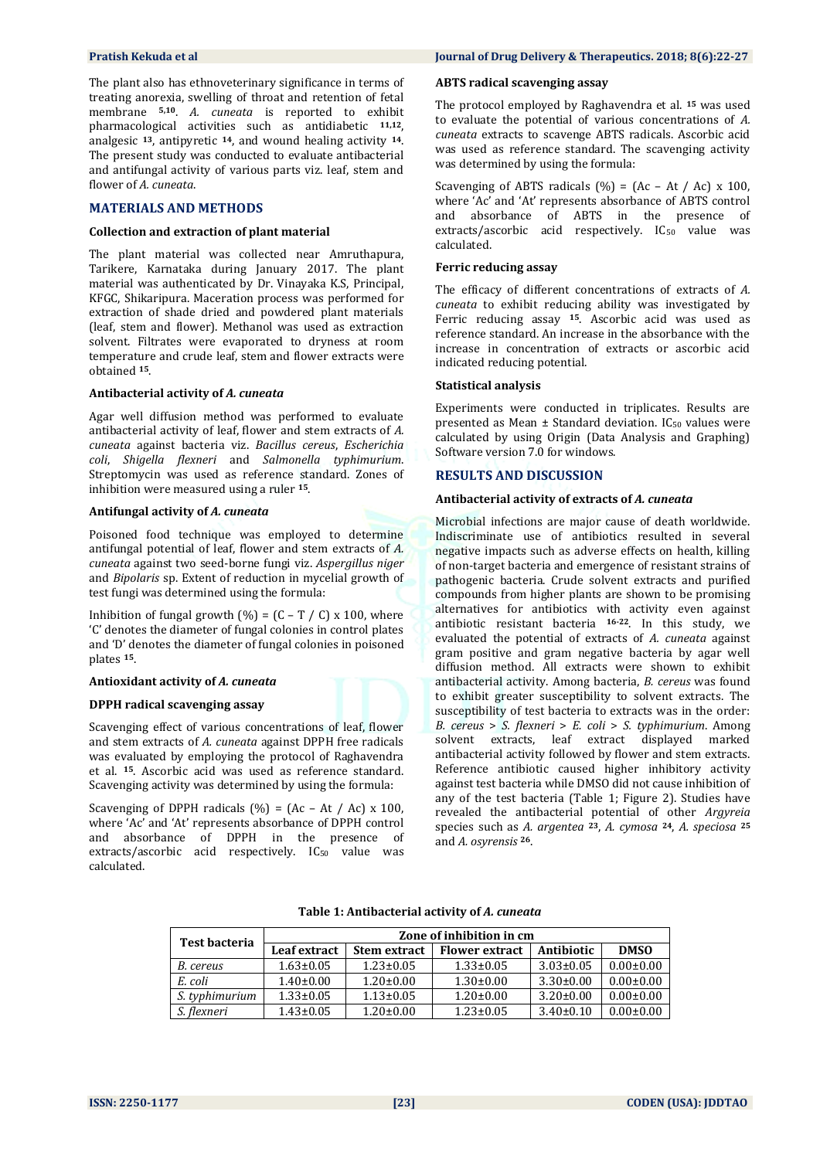The plant also has ethnoveterinary significance in terms of treating anorexia, swelling of throat and retention of fetal membrane **5,10**. *A. cuneata* is reported to exhibit pharmacological activities such as antidiabetic **11,12**, analgesic **13**, antipyretic **14**, and wound healing activity **14**. The present study was conducted to evaluate antibacterial and antifungal activity of various parts viz. leaf, stem and flower of *A. cuneata*.

#### **MATERIALS AND METHODS**

#### **Collection and extraction of plant material**

The plant material was collected near Amruthapura, Tarikere, Karnataka during January 2017. The plant material was authenticated by Dr. Vinayaka K.S, Principal, KFGC, Shikaripura. Maceration process was performed for extraction of shade dried and powdered plant materials (leaf, stem and flower). Methanol was used as extraction solvent. Filtrates were evaporated to dryness at room temperature and crude leaf, stem and flower extracts were obtained **15**.

#### **Antibacterial activity of** *A. cuneata*

Agar well diffusion method was performed to evaluate antibacterial activity of leaf, flower and stem extracts of *A. cuneata* against bacteria viz. *Bacillus cereus*, *Escherichia coli*, *Shigella flexneri* and *Salmonella typhimurium*. Streptomycin was used as reference standard. Zones of inhibition were measured using a ruler **<sup>15</sup>**.

#### **Antifungal activity of** *A. cuneata*

Poisoned food technique was employed to determine antifungal potential of leaf, flower and stem extracts of *A. cuneata* against two seed-borne fungi viz. *Aspergillus niger* and *Bipolaris* sp. Extent of reduction in mycelial growth of test fungi was determined using the formula:

Inhibition of fungal growth  $(\% ) = (C - T / C) \times 100$ , where 'C' denotes the diameter of fungal colonies in control plates and 'D' denotes the diameter of fungal colonies in poisoned plates **15**.

#### **Antioxidant activity of** *A. cuneata*

#### **DPPH radical scavenging assay**

Scavenging effect of various concentrations of leaf, flower and stem extracts of *A. cuneata* against DPPH free radicals was evaluated by employing the protocol of Raghavendra et al. **15**. Ascorbic acid was used as reference standard. Scavenging activity was determined by using the formula:

Scavenging of DPPH radicals  $(\% ) = (Ac - At / Ac) \times 100$ , where 'Ac' and 'At' represents absorbance of DPPH control and absorbance of DPPH in the presence of extracts/ascorbic acid respectively. IC<sub>50</sub> value was calculated.

#### **Pratish Kekuda et al Journal of Drug Delivery & Therapeutics. 2018; 8(6):22-27**

#### **ABTS radical scavenging assay**

The protocol employed by Raghavendra et al. **<sup>15</sup>** was used to evaluate the potential of various concentrations of *A. cuneata* extracts to scavenge ABTS radicals. Ascorbic acid was used as reference standard. The scavenging activity was determined by using the formula:

Scavenging of ABTS radicals  $(\%) = (Ac - At / Ac) \times 100$ , where 'Ac' and 'At' represents absorbance of ABTS control and absorbance of ABTS in the presence of extracts/ascorbic acid respectively. IC<sub>50</sub> value was calculated.

#### **Ferric reducing assay**

The efficacy of different concentrations of extracts of *A. cuneata* to exhibit reducing ability was investigated by Ferric reducing assay **15**. Ascorbic acid was used as reference standard. An increase in the absorbance with the increase in concentration of extracts or ascorbic acid indicated reducing potential.

#### **Statistical analysis**

Experiments were conducted in triplicates. Results are presented as Mean  $\pm$  Standard deviation. IC<sub>50</sub> values were calculated by using Origin (Data Analysis and Graphing) Software version 7.0 for windows.

### **RESULTS AND DISCUSSION**

#### **Antibacterial activity of extracts of** *A. cuneata*

Microbial infections are major cause of death worldwide. Indiscriminate use of antibiotics resulted in several negative impacts such as adverse effects on health, killing of non-target bacteria and emergence of resistant strains of pathogenic bacteria. Crude solvent extracts and purified compounds from higher plants are shown to be promising alternatives for antibiotics with activity even against antibiotic resistant bacteria **16-22**. In this study, we evaluated the potential of extracts of *A. cuneata* against gram positive and gram negative bacteria by agar well diffusion method. All extracts were shown to exhibit antibacterial activity. Among bacteria, *B. cereus* was found to exhibit greater susceptibility to solvent extracts. The susceptibility of test bacteria to extracts was in the order: *B. cereus* > *S. flexneri* > *E. coli* > *S. typhimurium*. Among solvent extracts, leaf extract displayed marked antibacterial activity followed by flower and stem extracts. Reference antibiotic caused higher inhibitory activity against test bacteria while DMSO did not cause inhibition of any of the test bacteria (Table 1; Figure 2). Studies have revealed the antibacterial potential of other *Argyreia* species such as *A. argentea* **<sup>23</sup>**, *A. cymosa* **<sup>24</sup>**, *A. speciosa* **<sup>25</sup>** and *A. osyrensis* **<sup>26</sup>**.

| <b>Test bacteria</b> | Zone of inhibition in cm |                     |                       |                 |                 |
|----------------------|--------------------------|---------------------|-----------------------|-----------------|-----------------|
|                      | Leaf extract             | <b>Stem extract</b> | <b>Flower extract</b> | Antibiotic      | <b>DMSO</b>     |
| B. cereus            | $1.63 \pm 0.05$          | $1.23 \pm 0.05$     | $1.33 \pm 0.05$       | $3.03 \pm 0.05$ | $0.00 \pm 0.00$ |
| E. coli              | $1.40\pm0.00$            | $1.20 \pm 0.00$     | $1.30 \pm 0.00$       | $3.30\pm0.00$   | $0.00 \pm 0.00$ |
| S. typhimurium       | $1.33 \pm 0.05$          | $1.13 \pm 0.05$     | $1.20 \pm 0.00$       | $3.20 \pm 0.00$ | $0.00 \pm 0.00$ |
| S. flexneri          | $1.43 \pm 0.05$          | $1.20 \pm 0.00$     | $1.23 \pm 0.05$       | $3.40 \pm 0.10$ | $0.00 \pm 0.00$ |

**Table 1: Antibacterial activity of** *A. cuneata*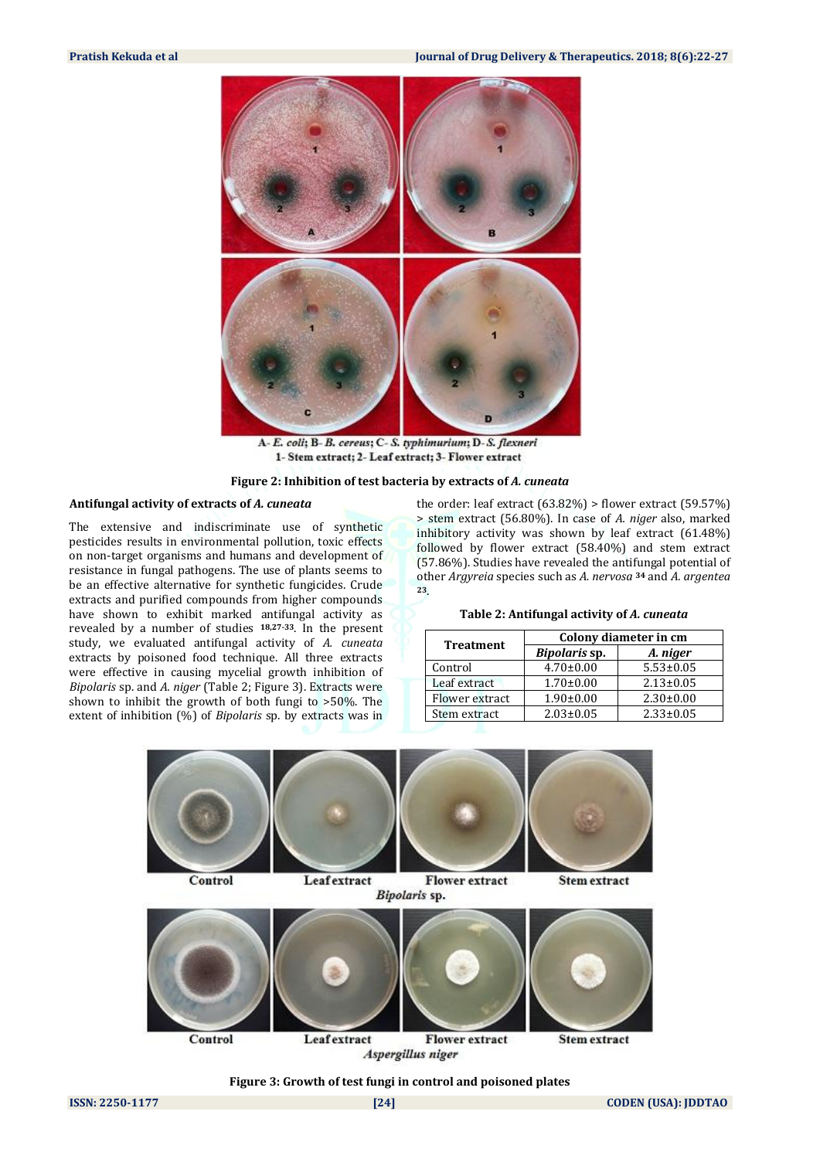**Pratish Kekuda et al Journal of Drug Delivery & Therapeutics. 2018; 8(6):22-27**



A-E. coli; B-B. cereus; C-S. typhimurium; D-S. flexneri 1- Stem extract; 2- Leaf extract; 3- Flower extract

**Figure 2: Inhibition of test bacteria by extracts of** *A. cuneata*

#### **Antifungal activity of extracts of** *A. cuneata*

The extensive and indiscriminate use of synthetic pesticides results in environmental pollution, toxic effects on non-target organisms and humans and development of resistance in fungal pathogens. The use of plants seems to be an effective alternative for synthetic fungicides. Crude extracts and purified compounds from higher compounds have shown to exhibit marked antifungal activity as revealed by a number of studies **18,27-33**. In the present study, we evaluated antifungal activity of *A. cuneata*  extracts by poisoned food technique. All three extracts were effective in causing mycelial growth inhibition of *Bipolaris* sp. and *A. niger* (Table 2; Figure 3). Extracts were shown to inhibit the growth of both fungi to >50%. The extent of inhibition (%) of *Bipolaris* sp. by extracts was in

the order: leaf extract (63.82%) > flower extract (59.57%) > stem extract (56.80%). In case of *A. niger* also, marked inhibitory activity was shown by leaf extract (61.48%) followed by flower extract (58.40%) and stem extract (57.86%). Studies have revealed the antifungal potential of other *Argyreia* species such as *A. nervosa* **<sup>34</sup>** and *A. argentea* **<sup>23</sup>**.

#### **Table 2: Antifungal activity of** *A. cuneata*

| <b>Treatment</b> | Colony diameter in cm |                 |  |
|------------------|-----------------------|-----------------|--|
|                  | <b>Bipolaris sp.</b>  | A. niger        |  |
| Control          | $4.70 \pm 0.00$       | $5.53 \pm 0.05$ |  |
| Leaf extract     | $1.70 \pm 0.00$       | $2.13 \pm 0.05$ |  |
| Flower extract   | $1.90 \pm 0.00$       | $2.30\pm0.00$   |  |
| Stem extract     | $2.03 \pm 0.05$       | $2.33 \pm 0.05$ |  |



**Figure 3: Growth of test fungi in control and poisoned plates**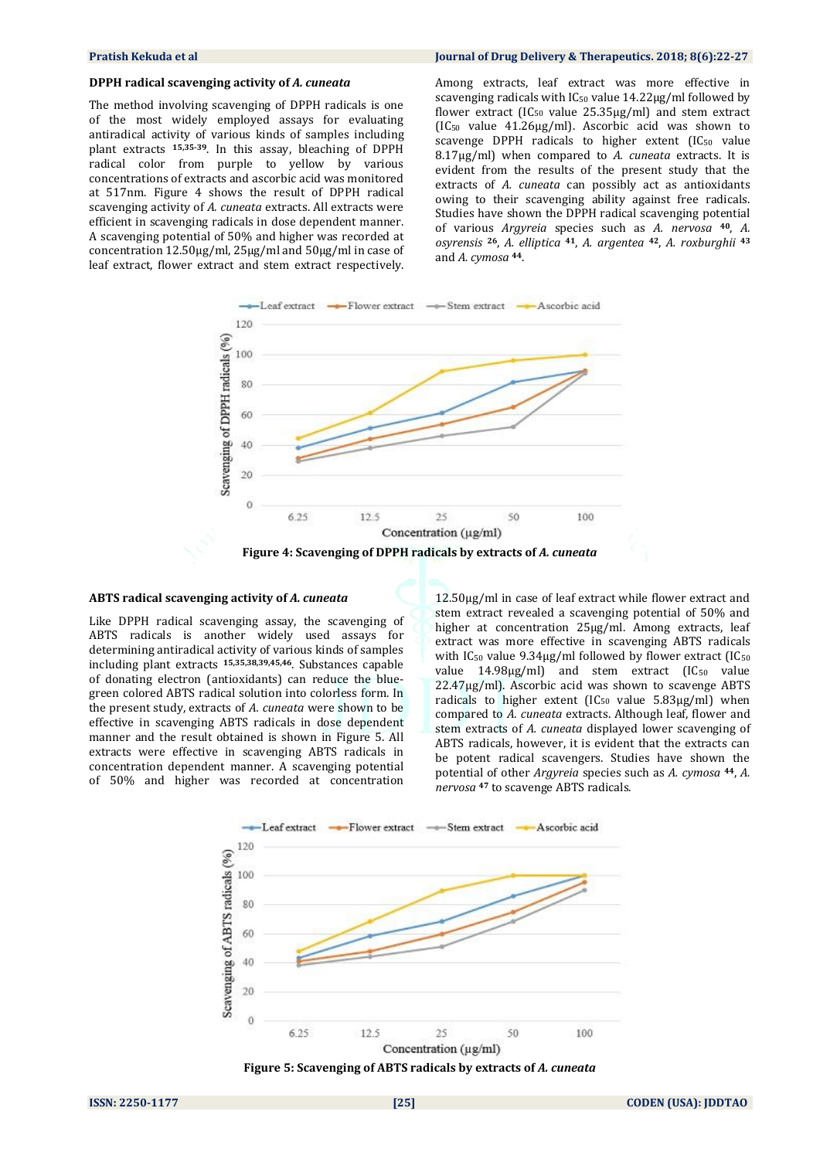#### **DPPH radical scavenging activity of** *A. cuneata*

The method involving scavenging of DPPH radicals is one of the most widely employed assays for evaluating antiradical activity of various kinds of samples including plant extracts **15,35-39**. In this assay, bleaching of DPPH radical color from purple to yellow by various concentrations of extracts and ascorbic acid was monitored at 517nm. Figure 4 shows the result of DPPH radical scavenging activity of *A. cuneata* extracts. All extracts were efficient in scavenging radicals in dose dependent manner. A scavenging potential of 50% and higher was recorded at concentration 12.50µg/ml, 25µg/ml and 50µg/ml in case of leaf extract, flower extract and stem extract respectively.

#### **Pratish Kekuda et al Journal of Drug Delivery & Therapeutics. 2018; 8(6):22-27**

Among extracts, leaf extract was more effective in scavenging radicals with IC<sub>50</sub> value 14.22µg/ml followed by flower extract (IC<sup>50</sup> value 25.35µg/ml) and stem extract (IC<sup>50</sup> value 41.26µg/ml). Ascorbic acid was shown to scavenge DPPH radicals to higher extent (IC<sub>50</sub> value 8.17µg/ml) when compared to *A. cuneata* extracts. It is evident from the results of the present study that the extracts of *A. cuneata* can possibly act as antioxidants owing to their scavenging ability against free radicals. Studies have shown the DPPH radical scavenging potential of various *Argyreia* species such as *A. nervosa* **<sup>40</sup>**, *A. osyrensis* **<sup>26</sup>**, *A. elliptica* **<sup>41</sup>**, *A. argentea* **<sup>42</sup>**, *A. roxburghii* **<sup>43</sup>** and *A. cymosa* **<sup>44</sup>**.



#### **ABTS radical scavenging activity of** *A. cuneata*

Like DPPH radical scavenging assay, the scavenging of ABTS radicals is another widely used assays for determining antiradical activity of various kinds of samples including plant extracts **15,35,38,39,45,46**. Substances capable of donating electron (antioxidants) can reduce the bluegreen colored ABTS radical solution into colorless form. In the present study, extracts of *A. cuneata* were shown to be effective in scavenging ABTS radicals in dose dependent manner and the result obtained is shown in Figure 5. All extracts were effective in scavenging ABTS radicals in concentration dependent manner. A scavenging potential of 50% and higher was recorded at concentration 12.50µg/ml in case of leaf extract while flower extract and stem extract revealed a scavenging potential of 50% and higher at concentration 25µg/ml. Among extracts, leaf extract was more effective in scavenging ABTS radicals with IC<sub>50</sub> value 9.34µg/ml followed by flower extract (IC<sub>50</sub> value 14.98µg/ml) and stem extract (IC<sub>50</sub> value 22.47µg/ml). Ascorbic acid was shown to scavenge ABTS radicals to higher extent  $[IC_{50}$  value 5.83 $\mu$ g/ml) when compared to *A. cuneata* extracts. Although leaf, flower and stem extracts of *A. cuneata* displayed lower scavenging of ABTS radicals, however, it is evident that the extracts can be potent radical scavengers. Studies have shown the potential of other *Argyreia* species such as *A. cymosa* **<sup>44</sup>**, *A. nervosa* **<sup>47</sup>** to scavenge ABTS radicals.



**Figure 5: Scavenging of ABTS radicals by extracts of** *A. cuneata*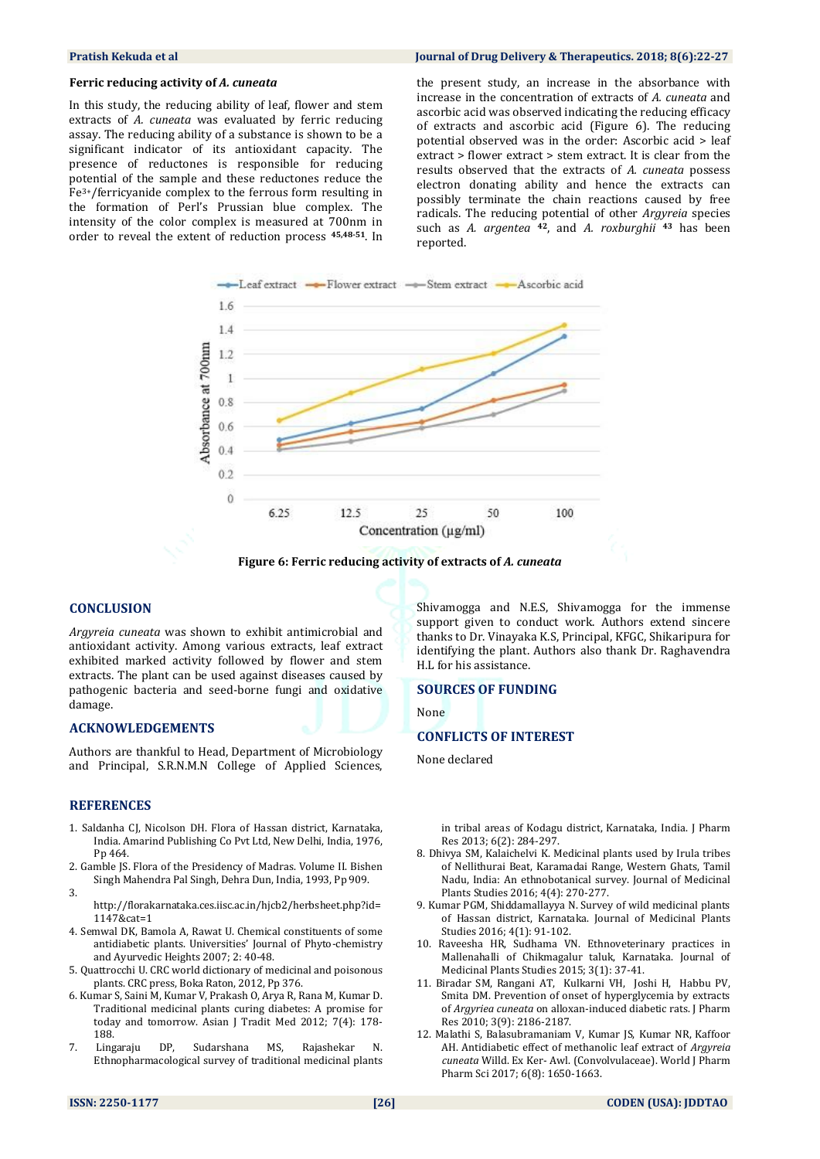#### **Ferric reducing activity of** *A. cuneata*

In this study, the reducing ability of leaf, flower and stem extracts of *A. cuneata* was evaluated by ferric reducing assay. The reducing ability of a substance is shown to be a significant indicator of its antioxidant capacity. The presence of reductones is responsible for reducing potential of the sample and these reductones reduce the Fe3+/ferricyanide complex to the ferrous form resulting in the formation of Perl's Prussian blue complex. The intensity of the color complex is measured at 700nm in order to reveal the extent of reduction process **45,48-51**. In

#### **Pratish Kekuda et al Journal of Drug Delivery & Therapeutics. 2018; 8(6):22-27**

the present study, an increase in the absorbance with increase in the concentration of extracts of *A. cuneata* and ascorbic acid was observed indicating the reducing efficacy of extracts and ascorbic acid (Figure 6). The reducing potential observed was in the order: Ascorbic acid > leaf extract > flower extract > stem extract. It is clear from the results observed that the extracts of *A. cuneata* possess electron donating ability and hence the extracts can possibly terminate the chain reactions caused by free radicals. The reducing potential of other *Argyreia* species such as *A. argentea* **<sup>42</sup>**, and *A. roxburghii* **<sup>43</sup>** has been reported.



**Figure 6: Ferric reducing activity of extracts of** *A. cuneata*

#### **CONCLUSION**

*Argyreia cuneata* was shown to exhibit antimicrobial and antioxidant activity. Among various extracts, leaf extract exhibited marked activity followed by flower and stem extracts. The plant can be used against diseases caused by pathogenic bacteria and seed-borne fungi and oxidative damage.

#### **ACKNOWLEDGEMENTS**

Authors are thankful to Head, Department of Microbiology and Principal, S.R.N.M.N College of Applied Sciences,

#### **REFERENCES**

- 1. Saldanha CJ, Nicolson DH. Flora of Hassan district, Karnataka, India. Amarind Publishing Co Pvt Ltd, New Delhi, India, 1976, Pp 464.
- 2. Gamble JS. Flora of the Presidency of Madras. Volume II. Bishen Singh Mahendra Pal Singh, Dehra Dun, India, 1993, Pp 909.
- 3.
- http://florakarnataka.ces.iisc.ac.in/hjcb2/herbsheet.php?id= 1147&cat=1
- 4. Semwal DK, Bamola A, Rawat U. Chemical constituents of some antidiabetic plants. Universities' Journal of Phyto-chemistry and Ayurvedic Heights 2007; 2: 40-48.
- 5. Quattrocchi U. CRC world dictionary of medicinal and poisonous plants. CRC press, Boka Raton, 2012, Pp 376.
- 6. Kumar S, Saini M, Kumar V, Prakash O, Arya R, Rana M, Kumar D. Traditional medicinal plants curing diabetes: A promise for today and tomorrow. Asian J Tradit Med 2012; 7(4): 178- 188.
- 7. Lingaraju DP, Sudarshana MS, Rajashekar N. Ethnopharmacological survey of traditional medicinal plants

Shivamogga and N.E.S, Shivamogga for the immense support given to conduct work. Authors extend sincere thanks to Dr. Vinayaka K.S, Principal, KFGC, Shikaripura for identifying the plant. Authors also thank Dr. Raghavendra H.L for his assistance.

### **SOURCES OF FUNDING**

None

#### **CONFLICTS OF INTEREST**

None declared

in tribal areas of Kodagu district, Karnataka, India. J Pharm Res 2013; 6(2): 284-297.

- 8. Dhivya SM, Kalaichelvi K. Medicinal plants used by Irula tribes of Nellithurai Beat, Karamadai Range, Western Ghats, Tamil Nadu, India: An ethnobotanical survey. Journal of Medicinal Plants Studies 2016; 4(4): 270-277.
- 9. Kumar PGM, Shiddamallayya N. Survey of wild medicinal plants of Hassan district, Karnataka. Journal of Medicinal Plants Studies 2016; 4(1): 91-102.
- 10. Raveesha HR, Sudhama VN. Ethnoveterinary practices in Mallenahalli of Chikmagalur taluk, Karnataka. Journal of Medicinal Plants Studies 2015; 3(1): 37-41.
- 11. Biradar SM, Rangani AT, Kulkarni VH, Joshi H, Habbu PV, Smita DM. Prevention of onset of hyperglycemia by extracts of *Argyriea cuneata* on alloxan-induced diabetic rats. J Pharm Res 2010; 3(9): 2186-2187.
- 12. Malathi S, Balasubramaniam V, Kumar JS, Kumar NR, Kaffoor AH. Antidiabetic effect of methanolic leaf extract of *Argyreia cuneata* Willd. Ex Ker- Awl. (Convolvulaceae). World J Pharm Pharm Sci 2017; 6(8): 1650-1663.